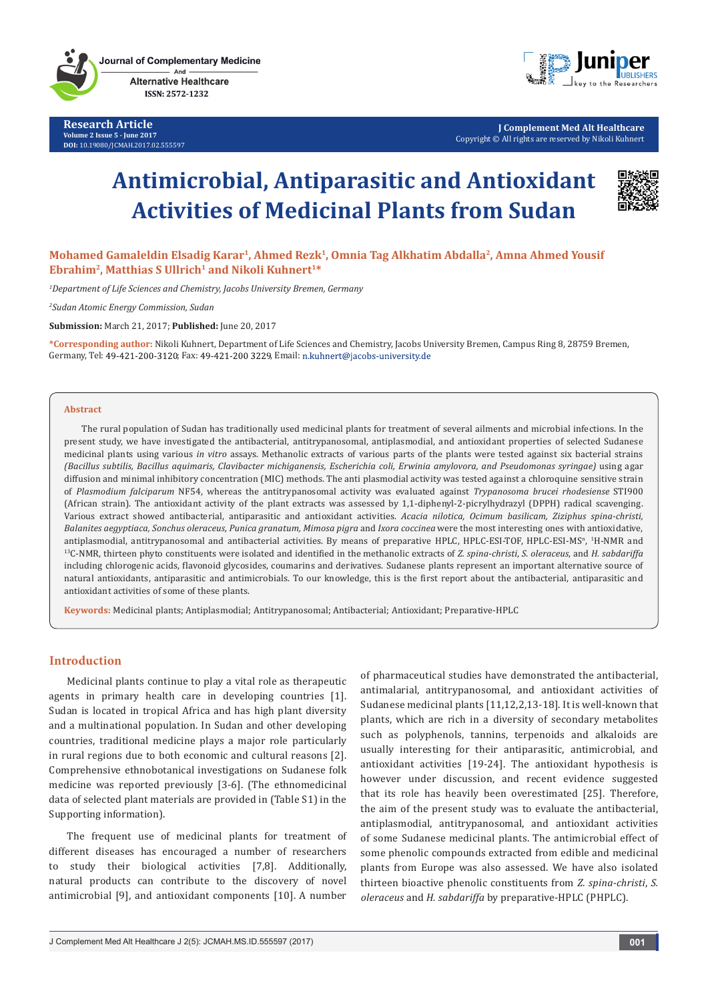

**Research Article Volume 2 Issue 5 - June 2017 DOI:** [10.19080/JCMAH.2017.02.555597](http://dx.doi.org/10.19080/JCMAH.2017.02.555597)



**J Complement Med Alt Healthcare** Copyright © All rights are reserved by Nikoli Kuhnert

# **Antimicrobial, Antiparasitic and Antioxidant Activities of Medicinal Plants from Sudan**



Mohamed Gamaleldin Elsadig Karar<sup>1</sup>, Ahmed Rezk<sup>1</sup>, Omnia Tag Alkhatim Abdalla<sup>2</sup>, Amna Ahmed Yousif Ebrahim<sup>2</sup>, Matthias S Ullrich<sup>1</sup> and Nikoli Kuhnert<sup>1\*</sup>

*1 Department of Life Sciences and Chemistry, Jacobs University Bremen, Germany*

*2 Sudan Atomic Energy Commission, Sudan*

**Submission:** March 21, 2017; **Published:** June 20, 2017

**\*Corresponding author:** Nikoli Kuhnert, Department of Life Sciences and Chemistry, Jacobs University Bremen, Campus Ring 8, 28759 Bremen, Germany, Tel: 49-421-200-3120; Fax: 49-421-200 3229, Email: n.kuhnert@jacobs-university.de

#### **Abstract**

The rural population of Sudan has traditionally used medicinal plants for treatment of several ailments and microbial infections. In the present study, we have investigated the antibacterial, antitrypanosomal, antiplasmodial, and antioxidant properties of selected Sudanese medicinal plants using various *in vitro* assays. Methanolic extracts of various parts of the plants were tested against six bacterial strains *(Bacillus subtilis, Bacillus aquimaris, Clavibacter michiganensis, Escherichia coli, Erwinia amylovora, and Pseudomonas syringae)* using agar diffusion and minimal inhibitory concentration (MIC) methods. The anti plasmodial activity was tested against a chloroquine sensitive strain of *Plasmodium falciparum* NF54, whereas the antitrypanosomal activity was evaluated against *Trypanosoma brucei rhodesiense* STI900 (African strain). The antioxidant activity of the plant extracts was assessed by 1,1-diphenyl-2-picrylhydrazyl (DPPH) radical scavenging. Various extract showed antibacterial, antiparasitic and antioxidant activities. *Acacia nilotica, Ocimum basilicam, Ziziphus spina-christi, Balanites aegyptiaca, Sonchus oleraceus, Punica granatum, Mimosa pigra* and *Ixora coccinea* were the most interesting ones with antioxidative, antiplasmodial, antitrypanosomal and antibacterial activities. By means of preparative HPLC, HPLC-ESI-TOF, HPLC-ESI-MS<sup>n</sup>, <sup>1</sup> <sup>13</sup>C-NMR, thirteen phyto constituents were isolated and identified in the methanolic extracts of *Z. spina-christi*, *S. oleraceus*, and *H. sabdariffa* including chlorogenic acids, flavonoid glycosides, coumarins and derivatives. Sudanese plants represent an important alternative source of natural antioxidants, antiparasitic and antimicrobials. To our knowledge, this is the first report about the antibacterial, antiparasitic and antioxidant activities of some of these plants.

**Keywords:** Medicinal plants; Antiplasmodial; Antitrypanosomal; Antibacterial; Antioxidant; Preparative-HPLC

## **Introduction**

Medicinal plants continue to play a vital role as therapeutic agents in primary health care in developing countries [1]. Sudan is located in tropical Africa and has high plant diversity and a multinational population. In Sudan and other developing countries, traditional medicine plays a major role particularly in rural regions due to both economic and cultural reasons [2]. Comprehensive ethnobotanical investigations on Sudanese folk medicine was reported previously [3-6]. (The ethnomedicinal data of selected plant materials are provided in (Table S1) in the Supporting information).

The frequent use of medicinal plants for treatment of different diseases has encouraged a number of researchers to study their biological activities [7,8]. Additionally, natural products can contribute to the discovery of novel antimicrobial [9], and antioxidant components [10]. A number of pharmaceutical studies have demonstrated the antibacterial, antimalarial, antitrypanosomal, and antioxidant activities of Sudanese medicinal plants [11,12,2,13-18]. It is well-known that plants, which are rich in a diversity of secondary metabolites such as polyphenols, tannins, terpenoids and alkaloids are usually interesting for their antiparasitic, antimicrobial, and antioxidant activities [19-24]. The antioxidant hypothesis is however under discussion, and recent evidence suggested that its role has heavily been overestimated [25]. Therefore, the aim of the present study was to evaluate the antibacterial, antiplasmodial, antitrypanosomal, and antioxidant activities of some Sudanese medicinal plants. The antimicrobial effect of some phenolic compounds extracted from edible and medicinal plants from Europe was also assessed. We have also isolated thirteen bioactive phenolic constituents from *Z. spina-christi*, *S. oleraceus* and *H. sabdariffa* by preparative-HPLC (PHPLC).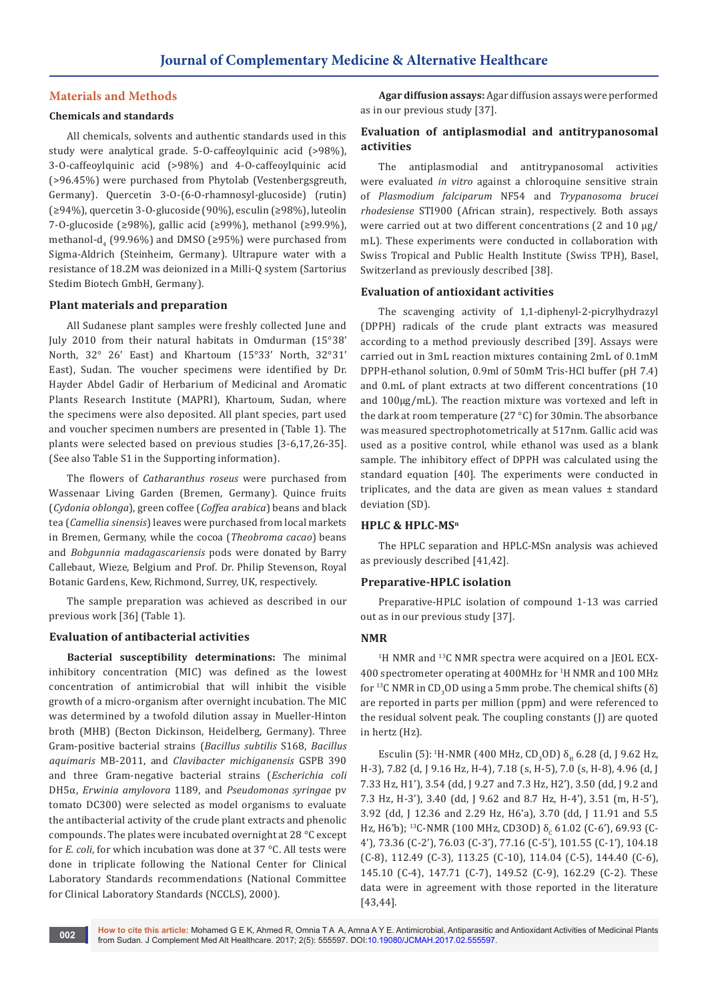## **Materials and Methods**

## **Chemicals and standards**

All chemicals, solvents and authentic standards used in this study were analytical grade. 5-O-caffeoylquinic acid (>98%), 3-O-caffeoylquinic acid (>98%) and 4-O-caffeoylquinic acid (>96.45%) were purchased from Phytolab (Vestenbergsgreuth, Germany). Quercetin 3-O-(6-O-rhamnosyl-glucoside) (rutin) (≥94%), quercetin 3-O-glucoside (90%), esculin (≥98%), luteolin 7-O-glucoside (≥98%), gallic acid (≥99%), methanol (≥99.9%), methanol-d<sub>4</sub> (99.96%) and DMSO (≥95%) were purchased from Sigma-Aldrich (Steinheim, Germany). Ultrapure water with a resistance of 18.2M was deionized in a Milli-Q system (Sartorius Stedim Biotech GmbH, Germany).

#### **Plant materials and preparation**

All Sudanese plant samples were freshly collected June and July 2010 from their natural habitats in Omdurman (15°38' North, 32° 26' East) and Khartoum (15°33' North, 32°31' East), Sudan. The voucher specimens were identified by Dr. Hayder Abdel Gadir of Herbarium of Medicinal and Aromatic Plants Research Institute (MAPRI), Khartoum, Sudan, where the specimens were also deposited. All plant species, part used and voucher specimen numbers are presented in (Table 1). The plants were selected based on previous studies [3-6,17,26-35]. (See also Table S1 in the Supporting information).

The flowers of *Catharanthus roseus* were purchased from Wassenaar Living Garden (Bremen, Germany). Quince fruits (*Cydonia oblonga*), green coffee (*Coffea arabica*) beans and black tea (*Camellia sinensis*) leaves were purchased from local markets in Bremen, Germany, while the cocoa (*Theobroma cacao*) beans and *Bobgunnia madagascariensis* pods were donated by Barry Callebaut, Wieze, Belgium and Prof. Dr. Philip Stevenson, Royal Botanic Gardens, Kew, Richmond, Surrey, UK, respectively.

The sample preparation was achieved as described in our previous work [36] (Table 1).

## **Evaluation of antibacterial activities**

**Bacterial susceptibility determinations:** The minimal inhibitory concentration (MIC) was defined as the lowest concentration of antimicrobial that will inhibit the visible growth of a micro-organism after overnight incubation. The MIC was determined by a twofold dilution assay in Mueller-Hinton broth (MHB) (Becton Dickinson, Heidelberg, Germany). Three Gram-positive bacterial strains (*Bacillus subtilis* S168, *Bacillus aquimaris* MB-2011, and *Clavibacter michiganensis* GSPB 390 and three Gram-negative bacterial strains (*Escherichia coli* DH5α, *Erwinia amylovora* 1189, and *Pseudomonas syringae* pv tomato DC300) were selected as model organisms to evaluate the antibacterial activity of the crude plant extracts and phenolic compounds. The plates were incubated overnight at 28 °C except for *E. coli*, for which incubation was done at 37 °C. All tests were done in triplicate following the National Center for Clinical Laboratory Standards recommendations (National Committee for Clinical Laboratory Standards (NCCLS), 2000).

**Agar diffusion assays:** Agar diffusion assays were performed as in our previous study [37].

## **Evaluation of antiplasmodial and antitrypanosomal activities**

The antiplasmodial and antitrypanosomal activities were evaluated *in vitro* against a chloroquine sensitive strain of *Plasmodium falciparum* NF54 and *Trypanosoma brucei rhodesiense* STI900 (African strain), respectively. Both assays were carried out at two different concentrations (2 and 10 µg/ mL). These experiments were conducted in collaboration with Swiss Tropical and Public Health Institute (Swiss TPH), Basel, Switzerland as previously described [38].

## **Evaluation of antioxidant activities**

The scavenging activity of 1,1-diphenyl-2-picrylhydrazyl (DPPH) radicals of the crude plant extracts was measured according to a method previously described [39]. Assays were carried out in 3mL reaction mixtures containing 2mL of 0.1mM DPPH-ethanol solution, 0.9ml of 50mM Tris-HCl buffer (pH 7.4) and 0.mL of plant extracts at two different concentrations (10 and 100µg/mL). The reaction mixture was vortexed and left in the dark at room temperature (27 °C) for 30min. The absorbance was measured spectrophotometrically at 517nm. Gallic acid was used as a positive control, while ethanol was used as a blank sample. The inhibitory effect of DPPH was calculated using the standard equation [40]. The experiments were conducted in triplicates, and the data are given as mean values  $\pm$  standard deviation (SD).

#### **HPLC & HPLC-MSn**

The HPLC separation and HPLC-MSn analysis was achieved as previously described [41,42].

## **Preparative-HPLC isolation**

Preparative-HPLC isolation of compound 1-13 was carried out as in our previous study [37].

#### **NMR**

<sup>1</sup>H NMR and <sup>13</sup>C NMR spectra were acquired on a JEOL ECX-400 spectrometer operating at 400MHz for 1 H NMR and 100 MHz for <sup>13</sup>C NMR in CD<sub>3</sub>OD using a 5mm probe. The chemical shifts (δ) are reported in parts per million (ppm) and were referenced to the residual solvent peak. The coupling constants (J) are quoted in hertz (Hz).

Esculin (5): <sup>1</sup>H-NMR (400 MHz, CD<sub>3</sub>OD)  $\delta_{\rm H}$  6.28 (d, J 9.62 Hz, H-3), 7.82 (d, J 9.16 Hz, H-4), 7.18 (s, H-5), 7.0 (s, H-8), 4.96 (d, J 7.33 Hz, H1'), 3.54 (dd, J 9.27 and 7.3 Hz, H2'), 3.50 (dd, J 9.2 and 7.3 Hz, H-3'), 3.40 (dd, J 9.62 and 8.7 Hz, H-4'), 3.51 (m, H-5'), 3.92 (dd, J 12.36 and 2.29 Hz, H6'a), 3.70 (dd, J 11.91 and 5.5 Hz, H6'b); <sup>13</sup>C-NMR (100 MHz, CD30D) δ<sub>c</sub> 61.02 (C-6'), 69.93 (C-4'), 73.36 (C-2'), 76.03 (C-3'), 77.16 (C-5'), 101.55 (C-1'), 104.18 (C-8), 112.49 (C-3), 113.25 (C-10), 114.04 (C-5), 144.40 (C-6), 145.10 (C-4), 147.71 (C-7), 149.52 (C-9), 162.29 (C-2). These data were in agreement with those reported in the literature [43,44].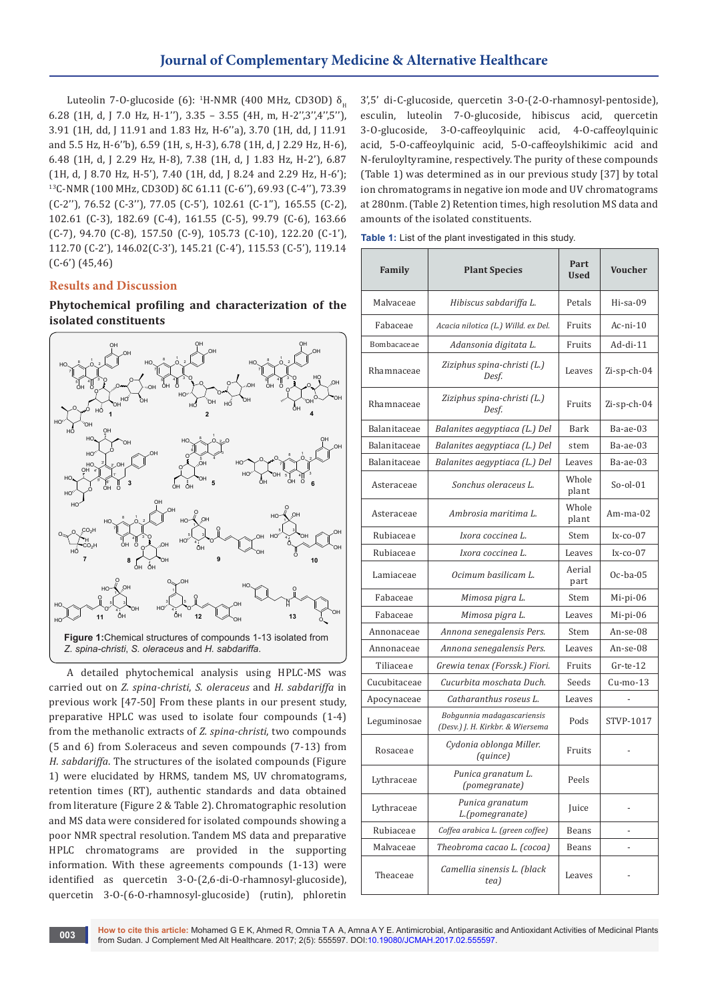Luteolin 7-O-glucoside (6):  $\mathrm{^{1}H\text{-}NMR}$  (400 MHz, CD3OD)  $\delta_{_{\mathrm{H}}}$ 6.28 (1H, d, J 7.0 Hz, H-1''), 3.35 – 3.55 (4H, m, H-2'',3'',4'',5''), 3.91 (1H, dd, J 11.91 and 1.83 Hz, H-6''a), 3.70 (1H, dd, J 11.91 and 5.5 Hz, H-6''b), 6.59 (1H, s, H-3), 6.78 (1H, d, J 2.29 Hz, H-6), 6.48 (1H, d, J 2.29 Hz, H-8), 7.38 (1H, d, J 1.83 Hz, H-2'), 6.87 (1H, d, J 8.70 Hz, H-5'), 7.40 (1H, dd, J 8.24 and 2.29 Hz, H-6'); <sup>13</sup>C-NMR (100 MHz, CD3OD) δC 61.11 (C-6''), 69.93 (C-4''), 73.39 (C-2''), 76.52 (C-3''), 77.05 (C-5'), 102.61 (C-1''), 165.55 (C-2), 102.61 (C-3), 182.69 (C-4), 161.55 (C-5), 99.79 (C-6), 163.66 (C-7), 94.70 (C-8), 157.50 (C-9), 105.73 (C-10), 122.20 (C-1'), 112.70 (C-2'), 146.02(C-3'), 145.21 (C-4'), 115.53 (C-5'), 119.14 (C-6') (45,46)

## **Results and Discussion**

**Phytochemical profiling and characterization of the isolated constituents**



A detailed phytochemical analysis using HPLC-MS was carried out on *Z. spina-christi*, *S. oleraceus* and *H. sabdariffa* in previous work [47-50] From these plants in our present study, preparative HPLC was used to isolate four compounds (1-4) from the methanolic extracts of *Z. spina-christi*, two compounds (5 and 6) from S.oleraceus and seven compounds (7-13) from *H. sabdariffa*. The structures of the isolated compounds (Figure 1) were elucidated by HRMS, tandem MS, UV chromatograms, retention times (RT), authentic standards and data obtained from literature (Figure 2 & Table 2). Chromatographic resolution and MS data were considered for isolated compounds showing a poor NMR spectral resolution. Tandem MS data and preparative HPLC chromatograms are provided in the supporting information. With these agreements compounds (1-13) were identified as quercetin 3-O-(2,6-di-O-rhamnosyl-glucoside), quercetin 3-O-(6-O-rhamnosyl-glucoside) (rutin), phloretin

3',5' di-C-glucoside, quercetin 3-O-(2-O-rhamnosyl-pentoside), esculin, luteolin 7-O-glucoside, hibiscus acid, quercetin 3-O-glucoside, 3-O-caffeoylquinic acid, 4-O-caffeoylquinic acid, 5-O-caffeoylquinic acid, 5-O-caffeoylshikimic acid and N-feruloyltyramine, respectively. The purity of these compounds (Table 1) was determined as in our previous study [37] by total ion chromatograms in negative ion mode and UV chromatograms at 280nm. (Table 2) Retention times, high resolution MS data and amounts of the isolated constituents.

|  |  |  | Table 1: List of the plant investigated in this study. |  |  |
|--|--|--|--------------------------------------------------------|--|--|
|  |  |  |                                                        |  |  |

| Family       | <b>Plant Species</b>                                           | Part<br><b>Used</b> | <b>Voucher</b> |  |
|--------------|----------------------------------------------------------------|---------------------|----------------|--|
| Malvaceae    | Hibiscus sabdariffa L.                                         | Petals              | $Hi$ -sa-09    |  |
| Fabaceae     | Acacia nilotica (L.) Willd. ex Del.                            | Fruits              | $Ac-ni-10$     |  |
| Bombacaceae  | Adansonia digitata L.                                          | Fruits              | Ad-di-11       |  |
| Rhamnaceae   | Ziziphus spina-christi (L.)<br>Desf.                           | Leaves              | Zi-sp-ch-04    |  |
| Rhamnaceae   | Ziziphus spina-christi (L.)<br>Desf.                           | Fruits              | Zi-sp-ch-04    |  |
| Balanitaceae | Balanites aegyptiaca (L.) Del                                  | Bark                | Ba-ae-03       |  |
| Balanitaceae | Balanites aegyptiaca (L.) Del                                  | stem                | Ba-ae-03       |  |
| Balanitaceae | Balanites aegyptiaca (L.) Del                                  | Leaves              | Ba-ae-03       |  |
| Asteraceae   | Sonchus oleraceus L.                                           | Whole<br>plant      | $So-ol-01$     |  |
| Asteraceae   | Ambrosia maritima L.                                           |                     | $Am-ma-02$     |  |
| Rubiaceae    | Ixora coccinea L.                                              | Stem                | $Ix$ -co-07    |  |
| Rubiaceae    | Ixora coccinea L.                                              | Leaves              | $Ix$ -co-07    |  |
| Lamiaceae    | Ocimum basilicam L.                                            | Aerial<br>part      | $Oc-ba-05$     |  |
| Fabaceae     | Mimosa pigra L.                                                | Stem                | Mi-pi-06       |  |
| Fabaceae     | Mimosa pigra L.                                                | Leaves              | $Mi-pi-06$     |  |
| Annonaceae   | Annona senegalensis Pers.                                      | Stem                | An-se-08       |  |
| Annonaceae   | Annona senegalensis Pers.                                      | Leaves              | An-se-08       |  |
| Tiliaceae    | Grewia tenax (Forssk.) Fiori.                                  | Fruits              | $Gr-te-12$     |  |
| Cucubitaceae | Cucurbita moschata Duch.                                       | Seeds               | Cu-mo-13       |  |
| Apocynaceae  | Catharanthus roseus L.                                         | Leaves              |                |  |
| Leguminosae  | Bobgunnia madagascariensis<br>(Desv.) J. H. Kirkbr. & Wiersema | Pods                | STVP-1017      |  |
| Rosaceae     | Cydonia oblonga Miller.<br>(quince)                            | Fruits              |                |  |
| Lythraceae   | Punica granatum L.<br>(pomegranate)                            |                     |                |  |
| Lythraceae   | Punica granatum<br>L.(pomegranate)                             | Juice               |                |  |
| Rubiaceae    | Coffea arabica L. (green coffee)                               | Beans               |                |  |
| Malvaceae    | Theobroma cacao L. (cocoa)                                     | Beans               |                |  |
| Theaceae     | Camellia sinensis L. (black<br>tea)                            | Leaves              |                |  |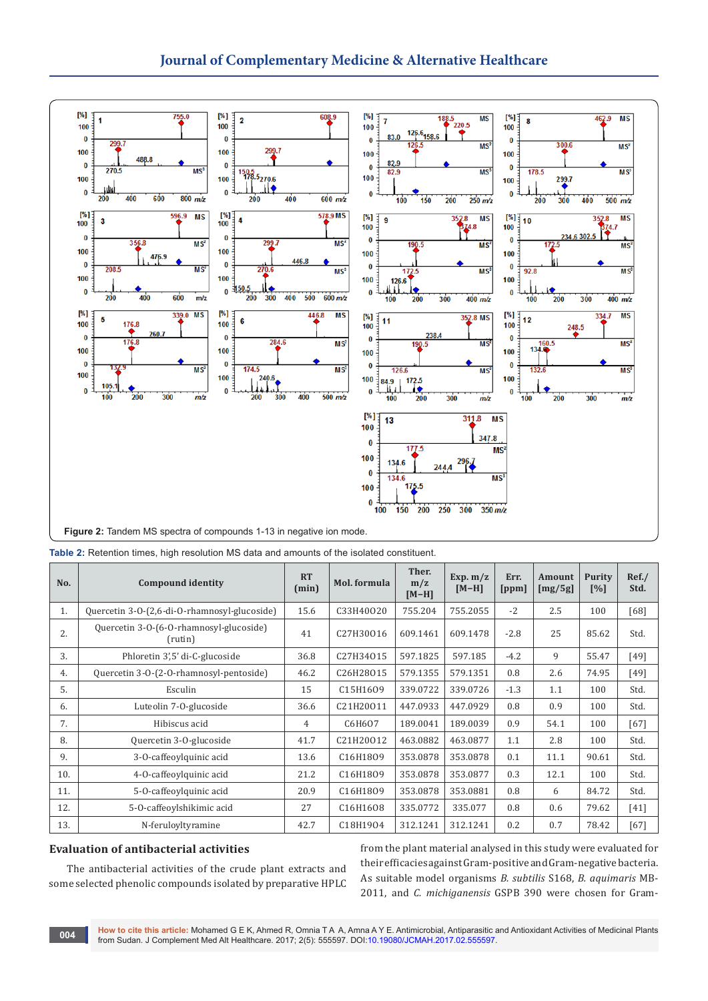

| No. | <b>Compound identity</b>                           | <b>RT</b><br>(min) | Mol. formula | Ther.<br>m/z<br>$[M-H]$ | Exp. $m/z$<br>$[M-H]$ | Err.<br> ppm | Amount<br>[mg/5g] | <b>Purity</b><br>$\lceil\% \rceil$ | Ref. /<br>Std. |
|-----|----------------------------------------------------|--------------------|--------------|-------------------------|-----------------------|--------------|-------------------|------------------------------------|----------------|
| 1.  | Quercetin 3-0-(2,6-di-0-rhamnosyl-glucoside)       | 15.6               | C33H40O20    | 755.204                 | 755.2055              | $-2$         | 2.5               | 100                                | [68]           |
| 2.  | Quercetin 3-0-(6-0-rhamnosyl-glucoside)<br>(rutin) | 41                 | C27H30016    | 609.1461                | 609.1478              | $-2.8$       | 25                | 85.62                              | Std.           |
| 3.  | Phloretin 3',5' di-C-glucoside                     | 36.8               | C27H34015    | 597.1825                | 597.185               | $-4.2$       | 9                 | 55.47                              | $[49]$         |
| 4.  | Quercetin 3-O-(2-O-rhamnosyl-pentoside)            | 46.2               | C26H28015    | 579.1355                | 579.1351              | 0.8          | 2.6               | 74.95                              | [49]           |
| 5.  | Esculin                                            | 15                 | C15H1609     | 339.0722                | 339.0726              | $-1.3$       | 1.1               | 100                                | Std.           |
| 6.  | Luteolin 7-0-glucoside                             | 36.6               | C21H20011    | 447.0933                | 447.0929              | 0.8          | 0.9               | 100                                | Std.           |
| 7.  | Hibiscus acid                                      | 4                  | C6H607       | 189.0041                | 189.0039              | 0.9          | 54.1              | 100                                | [67]           |
| 8.  | Quercetin 3-O-glucoside                            | 41.7               | C21H20012    | 463.0882                | 463.0877              | 1.1          | 2.8               | 100                                | Std.           |
| 9.  | 3-O-caffeoylquinic acid                            | 13.6               | C16H1809     | 353.0878                | 353.0878              | 0.1          | 11.1              | 90.61                              | Std.           |
| 10. | 4-O-caffeoylquinic acid                            | 21.2               | C16H1809     | 353.0878                | 353.0877              | 0.3          | 12.1              | 100                                | Std.           |
| 11. | 5-O-caffeoylquinic acid                            | 20.9               | C16H1809     | 353.0878                | 353.0881              | 0.8          | 6                 | 84.72                              | Std.           |
| 12. | 5-0-caffeoylshikimic acid                          | 27                 | C16H1608     | 335.0772                | 335.077               | 0.8          | 0.6               | 79.62                              | [41]           |
| 13. | N-feruloyltyramine                                 | 42.7               | C18H1904     | 312.1241                | 312.1241              | 0.2          | 0.7               | 78.42                              | $[67]$         |

## **Evaluation of antibacterial activities**

The antibacterial activities of the crude plant extracts and some selected phenolic compounds isolated by preparative HPLC from the plant material analysed in this study were evaluated for their efficacies against Gram-positive and Gram-negative bacteria. As suitable model organisms *B. subtilis* S168, *B. aquimaris* MB-2011, and *C. michiganensis* GSPB 390 were chosen for Gram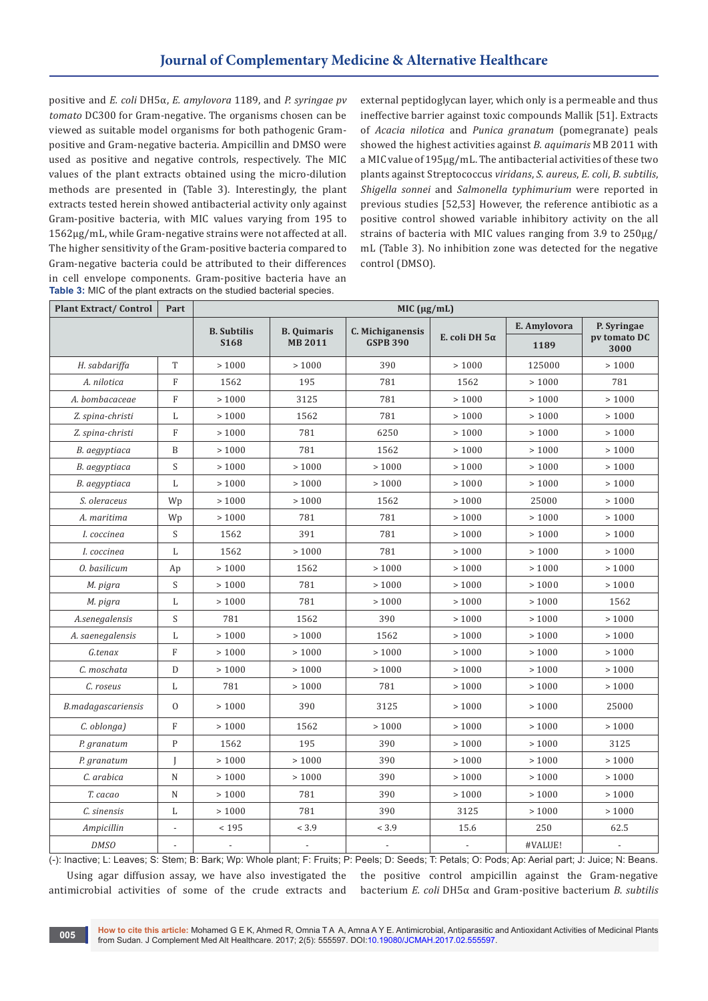positive and *E. coli* DH5α, *E. amylovora* 1189, and *P. syringae pv tomato* DC300 for Gram-negative. The organisms chosen can be viewed as suitable model organisms for both pathogenic Grampositive and Gram-negative bacteria. Ampicillin and DMSO were used as positive and negative controls, respectively. The MIC values of the plant extracts obtained using the micro-dilution methods are presented in (Table 3). Interestingly, the plant extracts tested herein showed antibacterial activity only against Gram-positive bacteria, with MIC values varying from 195 to 1562μg/mL, while Gram-negative strains were not affected at all. The higher sensitivity of the Gram-positive bacteria compared to Gram-negative bacteria could be attributed to their differences in cell envelope components. Gram-positive bacteria have an **Table 3:** MIC of the plant extracts on the studied bacterial species.

external peptidoglycan layer, which only is a permeable and thus ineffective barrier against toxic compounds Mallik [51]. Extracts of *Acacia nilotica* and *Punica granatum* (pomegranate) peals showed the highest activities against *B. aquimaris* MB 2011 with a MIC value of 195μg/mL. The antibacterial activities of these two plants against Streptococcus *viridans*, *S. aureus*, *E. coli*, *B. subtilis*, *Shigella sonnei* and *Salmonella typhimurium* were reported in previous studies [52,53] However, the reference antibiotic as a positive control showed variable inhibitory activity on the all strains of bacteria with MIC values ranging from 3.9 to 250μg/ mL (Table 3). No inhibition zone was detected for the negative control (DMSO).

| <b>Plant Extract/Control</b> | Part                      | MIC $(\mu g/mL)$         |                                  |                          |                      |              |                      |  |  |  |
|------------------------------|---------------------------|--------------------------|----------------------------------|--------------------------|----------------------|--------------|----------------------|--|--|--|
|                              |                           | <b>B.</b> Subtilis       | <b>B.</b> Quimaris               | C. Michiganensis         |                      | E. Amylovora | P. Syringae          |  |  |  |
|                              |                           | <b>S168</b>              | <b>GSPB 390</b><br><b>MB2011</b> |                          | E. coli DH $5\alpha$ | 1189         | pv tomato DC<br>3000 |  |  |  |
| H. sabdariffa                | T                         | >1000                    | >1000                            | 390                      | >1000                | 125000       | >1000                |  |  |  |
| A. nilotica                  | $\mathbf{F}$              | 1562                     | 195                              | 781                      | 1562                 | >1000        | 781                  |  |  |  |
| A. bombacaceae               | $\mathbf{F}$              | >1000                    | 3125                             | 781                      | >1000                | >1000        | >1000                |  |  |  |
| Z. spina-christi             | L                         | >1000                    | 1562                             | 781                      | >1000                | >1000        | >1000                |  |  |  |
| Z. spina-christi             | $\rm F$                   | >1000                    | 781                              | 6250                     | >1000                | >1000        | >1000                |  |  |  |
| B. aegyptiaca                | $\, {\bf B}$              | >1000                    | 781                              | 1562                     | >1000                | >1000        | >1000                |  |  |  |
| B. aegyptiaca                | S                         | >1000                    | >1000                            | >1000                    | >1000                | >1000        | >1000                |  |  |  |
| B. aegyptiaca                | L                         | >1000                    | >1000                            | >1000                    | >1000                | >1000        | >1000                |  |  |  |
| S. oleraceus                 | Wp                        | $>1000$                  | >1000                            | 1562                     | >1000                | 25000        | $>1000$              |  |  |  |
| A. maritima                  | Wp                        | >1000                    | 781                              | 781                      | >1000                | >1000        | >1000                |  |  |  |
| I. coccinea                  | S                         | 1562                     | 391                              | 781                      | >1000                | >1000        | >1000                |  |  |  |
| I. coccinea                  | L                         | 1562                     | >1000                            | 781                      | >1000                | >1000        | >1000                |  |  |  |
| 0. basilicum                 | Ap                        | >1000                    | 1562                             | >1000                    | >1000                | >1000        | >1000                |  |  |  |
| M. pigra                     | $\boldsymbol{\mathsf{S}}$ | >1000                    | 781                              | >1000                    | >1000                | >1000        | >1000                |  |  |  |
| M. pigra                     | L                         | >1000                    | 781                              | >1000                    | >1000                | >1000        | 1562                 |  |  |  |
| A.senegalensis               | S                         | 781                      | 1562                             | 390                      | >1000                | >1000        | >1000                |  |  |  |
| A. saenegalensis             | L                         | > 1000                   | >1000                            | 1562                     | >1000                | >1000        | > 1000               |  |  |  |
| G.tenax                      | $\rm F$                   | >1000                    | >1000                            | >1000                    | >1000                | >1000        | >1000                |  |  |  |
| C. moschata                  | D                         | >1000                    | >1000                            | >1000                    | >1000                | >1000        | >1000                |  |  |  |
| C. roseus                    | L                         | 781                      | >1000                            | 781                      | >1000                | >1000        | >1000                |  |  |  |
| B.madagascariensis           | $\mathbf{O}$              | >1000                    | 390                              | 3125                     | >1000                | >1000        | 25000                |  |  |  |
| C. oblonga)                  | $\overline{F}$            | >1000                    | 1562                             | >1000                    | >1000                | >1000        | >1000                |  |  |  |
| P. granatum                  | $\mathbf{P}$              | 1562                     | 195                              | 390                      | >1000                | >1000        | 3125                 |  |  |  |
| P. granatum                  | $\mathbf{I}$              | >1000                    | >1000                            | 390                      | >1000                | >1000        | >1000                |  |  |  |
| C. arabica                   | $\mathbb N$               | >1000                    | >1000                            | 390                      | >1000                | >1000        | >1000                |  |  |  |
| T. cacao                     | $\mathbf N$               | >1000                    | 781                              | 390                      | >1000                | >1000        | >1000                |  |  |  |
| C. sinensis                  | L                         | >1000                    | 781                              | 390                      | 3125                 | >1000        | >1000                |  |  |  |
| Ampicillin                   | $\overline{a}$            | < 195                    | < 3.9                            | < 3.9                    | 15.6                 | 250          | 62.5                 |  |  |  |
| <b>DMSO</b>                  |                           | $\overline{\phantom{a}}$ |                                  | $\overline{\phantom{a}}$ |                      | #VALUE!      |                      |  |  |  |

(-): Inactive; L: Leaves; S: Stem; B: Bark; Wp: Whole plant; F: Fruits; P: Peels; D: Seeds; T: Petals; O: Pods; Ap: Aerial part; J: Juice; N: Beans. Using agar diffusion assay, we have also investigated the antimicrobial activities of some of the crude extracts and the positive control ampicillin against the Gram-negative bacterium *E. coli* DH5α and Gram-positive bacterium *B. subtilis*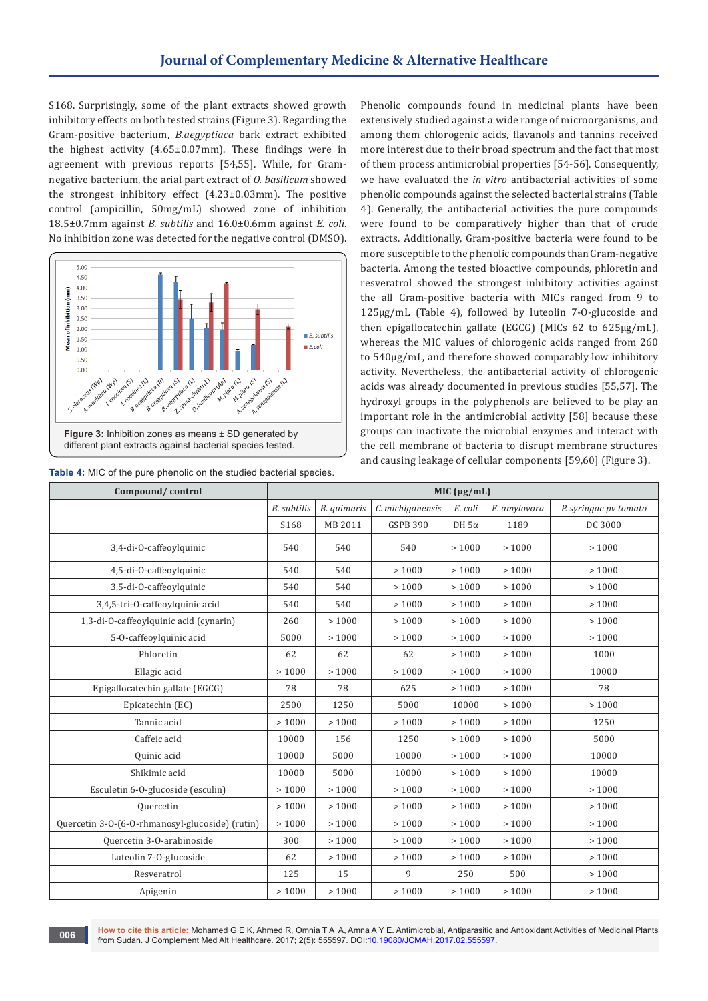S168. Surprisingly, some of the plant extracts showed growth inhibitory effects on both tested strains (Figure 3). Regarding the Gram-positive bacterium, *B.aegyptiaca* bark extract exhibited the highest activity (4.65±0.07mm). These findings were in agreement with previous reports [54,55]. While, for Gramnegative bacterium, the arial part extract of *O. basilicum* showed the strongest inhibitory effect (4.23±0.03mm). The positive control (ampicillin, 50mg/mL) showed zone of inhibition 18.5±0.7mm against *B. subtilis* and 16.0±0.6mm against *E. coli*. No inhibition zone was detected for the negative control (DMSO).



**Table 4:** MIC of the pure phenolic on the studied bacterial species.

Phenolic compounds found in medicinal plants have been extensively studied against a wide range of microorganisms, and among them chlorogenic acids, flavanols and tannins received more interest due to their broad spectrum and the fact that most of them process antimicrobial properties [54-56]. Consequently, we have evaluated the *in vitro* antibacterial activities of some phenolic compounds against the selected bacterial strains (Table 4). Generally, the antibacterial activities the pure compounds were found to be comparatively higher than that of crude extracts. Additionally, Gram-positive bacteria were found to be more susceptible to the phenolic compounds than Gram-negative bacteria. Among the tested bioactive compounds, phloretin and resveratrol showed the strongest inhibitory activities against the all Gram-positive bacteria with MICs ranged from 9 to 125μg/mL (Table 4), followed by luteolin 7-O-glucoside and then epigallocatechin gallate (EGCG) (MICs 62 to 625μg/mL), whereas the MIC values of chlorogenic acids ranged from 260 to 540μg/mL, and therefore showed comparably low inhibitory activity. Nevertheless, the antibacterial activity of chlorogenic acids was already documented in previous studies [55,57]. The hydroxyl groups in the polyphenols are believed to be play an important role in the antimicrobial activity [58] because these groups can inactivate the microbial enzymes and interact with the cell membrane of bacteria to disrupt membrane structures and causing leakage of cellular components [59,60] (Figure 3).

| Compound/control                                | MIC $(\mu g/mL)$   |             |                  |              |              |                       |  |  |
|-------------------------------------------------|--------------------|-------------|------------------|--------------|--------------|-----------------------|--|--|
|                                                 | <b>B.</b> subtilis | B. quimaris | C. michiganensis | E. coli      | E. amylovora | P. syringae pv tomato |  |  |
|                                                 | S168               | MB 2011     | <b>GSPB 390</b>  | DH $5\alpha$ | 1189         | DC 3000               |  |  |
| 3,4-di-O-caffeoylquinic                         | 540                | 540         | 540              | >1000        | >1000        | >1000                 |  |  |
| 4,5-di-O-caffeoylquinic                         | 540                | 540         | >1000            | >1000        | >1000        | >1000                 |  |  |
| 3,5-di-O-caffeoylquinic                         | 540                | 540         | >1000            | >1000        | >1000        | >1000                 |  |  |
| 3,4,5-tri-O-caffeoylquinic acid                 | 540                | 540         | >1000            | >1000        | >1000        | >1000                 |  |  |
| 1,3-di-O-caffeoylquinic acid (cynarin)          | 260                | >1000       | >1000            | >1000        | >1000        | >1000                 |  |  |
| 5-0-caffeoylquinic acid                         | 5000               | >1000       | >1000            | >1000        | >1000        | >1000                 |  |  |
| Phloretin                                       | 62                 | 62          | 62               | >1000        | >1000        | 1000                  |  |  |
| Ellagic acid                                    | >1000              | >1000       | >1000            | >1000        | >1000        | 10000                 |  |  |
| Epigallocatechin gallate (EGCG)                 | 78                 | 78          | 625              | >1000        | >1000        | 78                    |  |  |
| Epicatechin (EC)                                | 2500               | 1250        | 5000             | 10000        | >1000        | >1000                 |  |  |
| Tannic acid                                     | >1000              | >1000       | >1000            | >1000        | >1000        | 1250                  |  |  |
| Caffeic acid                                    | 10000              | 156         | 1250             | >1000        | >1000        | 5000                  |  |  |
| Quinic acid                                     | 10000              | 5000        | 10000            | >1000        | >1000        | 10000                 |  |  |
| Shikimic acid                                   | 10000              | 5000        | 10000            | >1000        | >1000        | 10000                 |  |  |
| Esculetin 6-0-glucoside (esculin)               | >1000              | >1000       | >1000            | >1000        | >1000        | >1000                 |  |  |
| <b>Quercetin</b>                                | >1000              | >1000       | >1000            | >1000        | >1000        | >1000                 |  |  |
| Quercetin 3-0-(6-0-rhmanosyl-glucoside) (rutin) | >1000              | >1000       | >1000            | >1000        | >1000        | >1000                 |  |  |
| Quercetin 3-O-arabinoside                       | 300                | >1000       | >1000            | >1000        | >1000        | >1000                 |  |  |
| Luteolin 7-O-glucoside                          | 62                 | >1000       | >1000            | >1000        | >1000        | >1000                 |  |  |
| Resveratrol                                     | 125                | 15          | 9                | 250          | 500          | >1000                 |  |  |
| Apigenin                                        | >1000              | >1000       | >1000            | >1000        | >1000        | >1000                 |  |  |

How to cite this article: Mohamed G E K, Ahmed R, Omnia T A A, Amna A Y E. Antimicrobial, Antiparasitic and Antioxidant Activities of Medicinal Plants from Sudan. J Complement Med Alt Healthcare. 2017; 2(5): 555597. DOI[:10.19080/JCMAH.2017.02.555597.](http://dx.doi.org/10.19080/JCMAH.2017.02.555597) **<sup>006</sup>**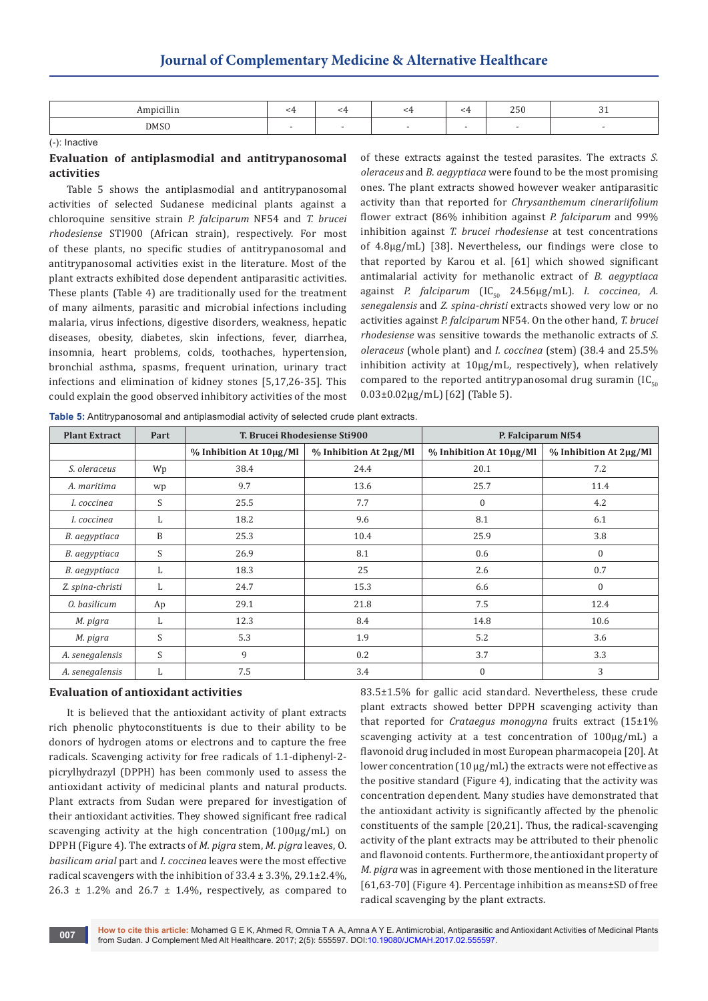## **Journal of Complementary Medicine & Alternative Healthcare**

| the contract of the contract of the |  |  | $ -$ |  |
|-------------------------------------|--|--|------|--|
| <b>DMSC</b>                         |  |  |      |  |

(-): Inactive

## **Evaluation of antiplasmodial and antitrypanosomal activities**

Table 5 shows the antiplasmodial and antitrypanosomal activities of selected Sudanese medicinal plants against a chloroquine sensitive strain *P. falciparum* NF54 and *T. brucei rhodesiense* STI900 (African strain), respectively. For most of these plants, no specific studies of antitrypanosomal and antitrypanosomal activities exist in the literature. Most of the plant extracts exhibited dose dependent antiparasitic activities. These plants (Table 4) are traditionally used for the treatment of many ailments, parasitic and microbial infections including malaria, virus infections, digestive disorders, weakness, hepatic diseases, obesity, diabetes, skin infections, fever, diarrhea, insomnia, heart problems, colds, toothaches, hypertension, bronchial asthma, spasms, frequent urination, urinary tract infections and elimination of kidney stones [5,17,26-35]. This could explain the good observed inhibitory activities of the most of these extracts against the tested parasites. The extracts *S. oleraceus* and *B. aegyptiaca* were found to be the most promising ones. The plant extracts showed however weaker antiparasitic activity than that reported for *Chrysanthemum cinerariifolium* flower extract (86% inhibition against *P. falciparum* and 99% inhibition against *T. brucei rhodesiense* at test concentrations of 4.8μg/mL) [38]. Nevertheless, our findings were close to that reported by Karou et al. [61] which showed significant antimalarial activity for methanolic extract of *B. aegyptiaca* against *P. falciparum* (IC<sub>50</sub> 24.56μg/mL). *I. coccinea*, *A. senegalensis* and *Z. spina-christi* extracts showed very low or no activities against *P. falciparum* NF54. On the other hand, *T. brucei rhodesiense* was sensitive towards the methanolic extracts of *S. oleraceus* (whole plant) and *I. coccinea* (stem) (38.4 and 25.5% inhibition activity at 10µg/mL, respectively), when relatively compared to the reported antitrypanosomal drug suramin  $\text{IC}_{\epsilon_0}$ 0.03±0.02μg/mL) [62] (Table 5).

**Table 5:** Antitrypanosomal and antiplasmodial activity of selected crude plant extracts.

| <b>Plant Extract</b> | Part | T. Brucei Rhodesiense Sti900   |                               | P. Falciparum Nf54             |                               |  |  |
|----------------------|------|--------------------------------|-------------------------------|--------------------------------|-------------------------------|--|--|
|                      |      | $%$ Inhibition At $10\mu$ g/Ml | $%$ Inhibition At $2\mu$ g/Ml | $%$ Inhibition At $10\mu$ g/Ml | $%$ Inhibition At $2\mu$ g/Ml |  |  |
| S. oleraceus         | Wp   | 38.4                           | 24.4                          | 20.1                           | 7.2                           |  |  |
| A. maritima          | wp   | 9.7                            | 13.6                          | 25.7                           | 11.4                          |  |  |
| I. coccinea          | S    | 25.5                           | 7.7                           | $\boldsymbol{0}$               | 4.2                           |  |  |
| I. coccinea          | L    | 18.2                           | 9.6                           | 8.1                            | 6.1                           |  |  |
| B. aegyptiaca        | B    | 25.3                           | 10.4                          | 25.9                           | 3.8                           |  |  |
| B. aegyptiaca        | S    | 26.9                           | 8.1                           | 0.6                            | $\mathbf{0}$                  |  |  |
| B. aegyptiaca        | L    | 18.3                           | 25                            | 2.6                            | 0.7                           |  |  |
| Z. spina-christi     | L    | 24.7                           | 15.3                          | 6.6                            | $\mathbf{0}$                  |  |  |
| 0. basilicum         | Ap   | 29.1                           | 21.8                          | 7.5                            | 12.4                          |  |  |
| M. pigra             | L    | 12.3                           | 8.4                           | 14.8                           | 10.6                          |  |  |
| M. pigra             | S    | 5.3                            | 1.9                           | 5.2                            | 3.6                           |  |  |
| A. senegalensis      | S    | 9                              | 0.2                           | 3.7                            | 3.3                           |  |  |
| A. senegalensis      | L    | 7.5                            | 3.4                           | $\mathbf{0}$                   | 3                             |  |  |

## **Evaluation of antioxidant activities**

It is believed that the antioxidant activity of plant extracts rich phenolic phytoconstituents is due to their ability to be donors of hydrogen atoms or electrons and to capture the free radicals. Scavenging activity for free radicals of 1.1-diphenyl-2 picrylhydrazyl (DPPH) has been commonly used to assess the antioxidant activity of medicinal plants and natural products. Plant extracts from Sudan were prepared for investigation of their antioxidant activities. They showed significant free radical scavenging activity at the high concentration (100µg/mL) on DPPH (Figure 4). The extracts of *M. pigra* stem, *M. pigra* leaves, O. *basilicam arial* part and *I. coccinea* leaves were the most effective radical scavengers with the inhibition of 33.4 ± 3.3%, 29.1±2.4%, 26.3  $\pm$  1.2% and 26.7  $\pm$  1.4%, respectively, as compared to

83.5±1.5% for gallic acid standard. Nevertheless, these crude plant extracts showed better DPPH scavenging activity than that reported for *Crataegus monogyna* fruits extract (15±1% scavenging activity at a test concentration of 100µg/mL) a flavonoid drug included in most European pharmacopeia [20]. At lower concentration (10 µg/mL) the extracts were not effective as the positive standard (Figure 4), indicating that the activity was concentration dependent. Many studies have demonstrated that the antioxidant activity is significantly affected by the phenolic constituents of the sample [20,21]. Thus, the radical-scavenging activity of the plant extracts may be attributed to their phenolic and flavonoid contents. Furthermore, the antioxidant property of *M. pigra* was in agreement with those mentioned in the literature [61,63-70] (Figure 4). Percentage inhibition as means±SD of free radical scavenging by the plant extracts.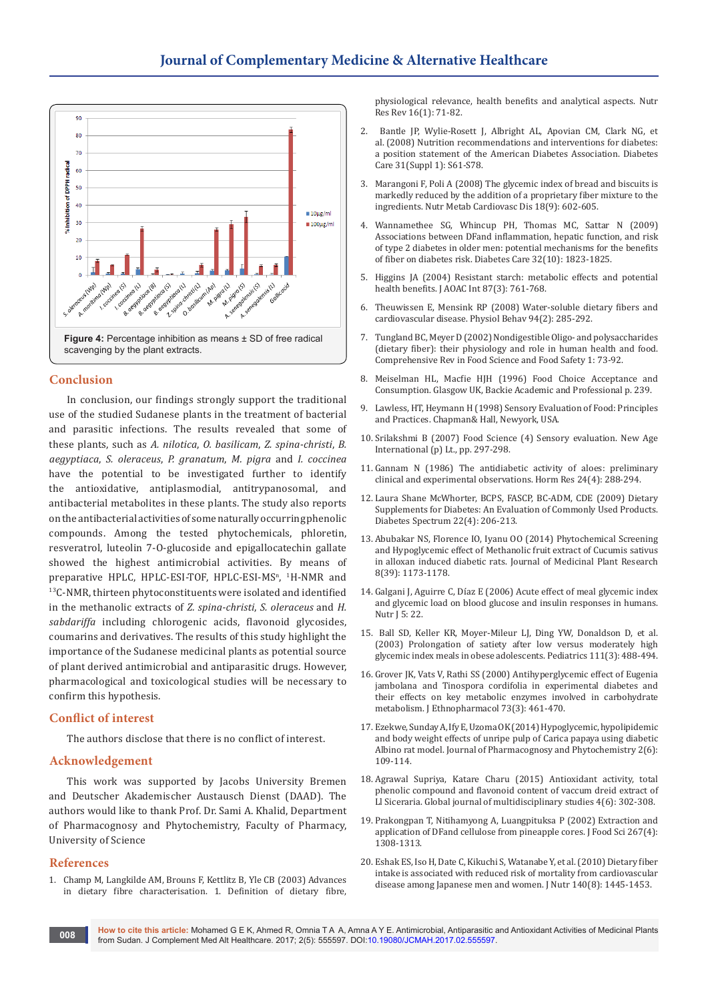

## **Conclusion**

In conclusion, our findings strongly support the traditional use of the studied Sudanese plants in the treatment of bacterial and parasitic infections. The results revealed that some of these plants, such as *A. nilotica*, *O. basilicam*, *Z. spina-christi*, *B. aegyptiaca*, *S. oleraceus*, *P. granatum*, *M. pigra* and *I. coccinea* have the potential to be investigated further to identify the antioxidative, antiplasmodial, antitrypanosomal, and antibacterial metabolites in these plants. The study also reports on the antibacterial activities of some naturally occurring phenolic compounds. Among the tested phytochemicals, phloretin, resveratrol, luteolin 7-O-glucoside and epigallocatechin gallate showed the highest antimicrobial activities. By means of preparative HPLC, HPLC-ESI-TOF, HPLC-ESI-MS<sup>n</sup>, <sup>1</sup>H-NMR and <sup>13</sup>C-NMR, thirteen phytoconstituents were isolated and identified in the methanolic extracts of *Z. spina-christi*, *S. oleraceus* and *H. sabdariffa* including chlorogenic acids, flavonoid glycosides, coumarins and derivatives. The results of this study highlight the importance of the Sudanese medicinal plants as potential source of plant derived antimicrobial and antiparasitic drugs. However, pharmacological and toxicological studies will be necessary to confirm this hypothesis.

#### **Conflict of interest**

The authors disclose that there is no conflict of interest.

## **Acknowledgement**

This work was supported by Jacobs University Bremen and Deutscher Akademischer Austausch Dienst (DAAD). The authors would like to thank Prof. Dr. Sami A. Khalid, Department of Pharmacognosy and Phytochemistry, Faculty of Pharmacy, University of Science

#### **References**

1. [Champ M, Langkilde AM, Brouns F, Kettlitz B, Yle CB \(2003\) Advances](https://www.ncbi.nlm.nih.gov/pubmed/19079938)  [in dietary fibre characterisation. 1. Definition of dietary fibre,](https://www.ncbi.nlm.nih.gov/pubmed/19079938)  [physiological relevance, health benefits and analytical aspects. Nutr](https://www.ncbi.nlm.nih.gov/pubmed/19079938)  [Res Rev 16\(1\): 71-82.](https://www.ncbi.nlm.nih.gov/pubmed/19079938)

- 2. [Bantle JP, Wylie-Rosett J, Albright AL, Apovian CM, Clark NG, et](https://www.ncbi.nlm.nih.gov/pubmed/18165339)  al. [\(2008\) Nutrition recommendations and interventions for diabetes:](https://www.ncbi.nlm.nih.gov/pubmed/18165339)  [a position statement of the American Diabetes Association.](https://www.ncbi.nlm.nih.gov/pubmed/18165339) Diabetes [Care 31\(Suppl 1\):](https://www.ncbi.nlm.nih.gov/pubmed/18165339) S61-S78.
- 3. Marangoni F, Poli A [\(2008\) The glycemic index of bread and biscuits is](https://www.ncbi.nlm.nih.gov/pubmed/18387793)  [markedly reduced by the addition of a proprietary fiber mixture to the](https://www.ncbi.nlm.nih.gov/pubmed/18387793)  ingredients. [Nutr Metab Cardiovasc Dis 18\(9\):](https://www.ncbi.nlm.nih.gov/pubmed/18387793) 602-605.
- 4. [Wannamethee](https://www.ncbi.nlm.nih.gov/pubmed/19628814) SG, Whincup PH, Thomas MC, Sattar N (2009) [Associations between DFand inflammation, hepatic function, and risk](https://www.ncbi.nlm.nih.gov/pubmed/19628814)  [of type 2 diabetes in older men: potential mechanisms for the benefits](https://www.ncbi.nlm.nih.gov/pubmed/19628814)  [of fiber on diabetes risk.](https://www.ncbi.nlm.nih.gov/pubmed/19628814) Diabetes Care 32(10): 1823-1825.
- 5. [Higgins JA \(2004\) Resistant starch: metabolic effects and potential](https://www.ncbi.nlm.nih.gov/pubmed/15287677)  [health benefits. J AOAC Int 87\(3\): 761-768.](https://www.ncbi.nlm.nih.gov/pubmed/15287677)
- 6. [Theuwissen E, Mensink RP \(2008\) Water-soluble dietary fibers and](https://www.ncbi.nlm.nih.gov/pubmed/18302966)  [cardiovascular disease. Physiol Behav 94\(2\): 285-292.](https://www.ncbi.nlm.nih.gov/pubmed/18302966)
- 7. Tungland BC, Meyer D (2002) Nondigestible Oligo- and polysaccharides (dietary fiber): their physiology and role in human health and food. Comprehensive Rev in Food Science and Food Safety 1: 73-92.
- 8. [Meiselman HL, Macfie HJH \(1996\) Food Choice Acceptance and](http://www.springer.com/in/book/9780751401929)  [Consumption. Glasgow UK, Backie Academic and Professional p. 239.](http://www.springer.com/in/book/9780751401929)
- 9. [Lawless, HT, Heymann H \(1998\) Sensory Evaluation of Food: Principles](http://www.springer.com/in/book/9781441964878)  [and Practices. Chapman& Hall, Newyork, USA.](http://www.springer.com/in/book/9781441964878)
- 10. Srilakshmi B (2007) Food Science (4) Sensory evaluation. New Age International (p) Lt., pp. 297-298.
- 11. Gannam N (1986) [The antidiabetic activity of aloes: preliminary](https://www.ncbi.nlm.nih.gov/pubmed/3096865)  [clinical and experimental observations.](https://www.ncbi.nlm.nih.gov/pubmed/3096865) Horm Res 24(4): 288-294.
- 12. [Laura Shane McWhorter, BCPS, FASCP, BC-ADM, CDE \(2009\) Dietary](http://spectrum.diabetesjournals.org/content/diaspect/22/4/206.full.pdf)  [Supplements for Diabetes: An Evaluation of Commonly Used Products.](http://spectrum.diabetesjournals.org/content/diaspect/22/4/206.full.pdf)  [Diabetes Spectrum 22\(4\):](http://spectrum.diabetesjournals.org/content/diaspect/22/4/206.full.pdf) 206-213.
- 13. [Abubakar NS, Florence IO, Iyanu OO \(2014\) Phytochemical Screening](http://www.academicjournals.org/article/article1414670643_Saidu%20et%20al.pdf)  [and Hypoglycemic effect of Methanolic fruit extract of Cucumis sativus](http://www.academicjournals.org/article/article1414670643_Saidu%20et%20al.pdf)  [in alloxan induced diabetic rats. Journal of Medicinal Plant Research](http://www.academicjournals.org/article/article1414670643_Saidu%20et%20al.pdf)  [8\(39\): 1173-1178.](http://www.academicjournals.org/article/article1414670643_Saidu%20et%20al.pdf)
- 14. Galgani J, Aguirre C, Díaz E (2006) [Acute effect of meal glycemic index](https://www.ncbi.nlm.nih.gov/pubmed/16953881/)  [and glycemic load on blood glucose and insulin responses in humans.](https://www.ncbi.nlm.nih.gov/pubmed/16953881/)  [Nutr J 5: 22.](https://www.ncbi.nlm.nih.gov/pubmed/16953881/)
- 15. [Ball SD, Keller KR, Moyer-Mileur LJ, Ding YW, Donaldson D, et al.](https://www.ncbi.nlm.nih.gov/pubmed/12612226)  (2003) [Prolongation of satiety after low versus moderately high](https://www.ncbi.nlm.nih.gov/pubmed/12612226)  [glycemic index meals in obese adolescents. Pediatrics 111\(3\): 488-494.](https://www.ncbi.nlm.nih.gov/pubmed/12612226)
- 16. [Grover JK, Vats V, Rathi SS \(2000\) Antihyperglycemic effect of Eugenia](https://www.ncbi.nlm.nih.gov/pubmed/11091000)  [jambolana and Tinospora cordifolia in experimental diabetes and](https://www.ncbi.nlm.nih.gov/pubmed/11091000)  [their effects on key metabolic enzymes involved in carbohydrate](https://www.ncbi.nlm.nih.gov/pubmed/11091000)  [metabolism. J Ethnopharmacol 73\(3\): 461-470.](https://www.ncbi.nlm.nih.gov/pubmed/11091000)
- 17. [Ezekwe, Sunday A, Ify E, Uzoma OK \(2014\) Hypoglycemic, hypolipidemic](http://www.phytojournal.com/archives/2014/vol2issue6/PartB/26.1.pdf)  [and body weight effects of unripe pulp of Carica papaya using diabetic](http://www.phytojournal.com/archives/2014/vol2issue6/PartB/26.1.pdf)  [Albino rat model. Journal of Pharmacognosy and Phytochemistry 2\(6\):](http://www.phytojournal.com/archives/2014/vol2issue6/PartB/26.1.pdf)  [109-114.](http://www.phytojournal.com/archives/2014/vol2issue6/PartB/26.1.pdf)
- 18. Agrawal Supriya, Katare Charu (2015) Antioxidant activity, total phenolic compound and flavonoid content of vaccum dreid extract of Ll Siceraria. Global journal of multidisciplinary studies 4(6): 302-308.
- 19. [Prakongpan T, Nitihamyong A, Luangpituksa P \(2002\) Extraction and](http://www.thaiscience.info/Article%20for%20ThaiScience/Article/1/10009336.pdf)  [application of DFand cellulose from pineapple cores. J Food Sci 267\(4\):](http://www.thaiscience.info/Article%20for%20ThaiScience/Article/1/10009336.pdf)  [1308-1313.](http://www.thaiscience.info/Article%20for%20ThaiScience/Article/1/10009336.pdf)
- 20. Eshak ES, Iso H, Date C, Kikuchi S, Watanabe Y, et al. (2010) Dietary fiber [intake is associated with reduced risk of mortality from cardiovascular](https://www.ncbi.nlm.nih.gov/pubmed/20573945)  [disease among Japanese men and women. J Nutr 140\(8\): 1445-1453.](https://www.ncbi.nlm.nih.gov/pubmed/20573945)